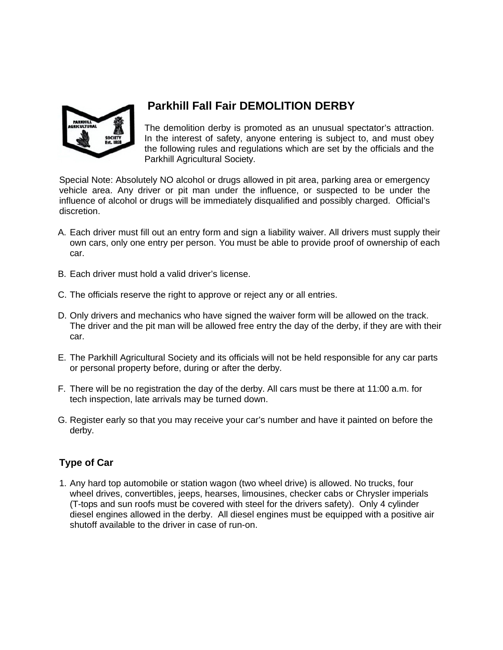

# **Parkhill Fall Fair DEMOLITION DERBY**

The demolition derby is promoted as an unusual spectator's attraction. In the interest of safety, anyone entering is subject to, and must obey the following rules and regulations which are set by the officials and the Parkhill Agricultural Society.

Special Note: Absolutely NO alcohol or drugs allowed in pit area, parking area or emergency vehicle area. Any driver or pit man under the influence, or suspected to be under the influence of alcohol or drugs will be immediately disqualified and possibly charged. Official's discretion.

- A. Each driver must fill out an entry form and sign a liability waiver. All drivers must supply their own cars, only one entry per person. You must be able to provide proof of ownership of each car.
- B. Each driver must hold a valid driver's license.
- C. The officials reserve the right to approve or reject any or all entries.
- D. Only drivers and mechanics who have signed the waiver form will be allowed on the track. The driver and the pit man will be allowed free entry the day of the derby, if they are with their car.
- E. The Parkhill Agricultural Society and its officials will not be held responsible for any car parts or personal property before, during or after the derby.
- F. There will be no registration the day of the derby. All cars must be there at 11:00 a.m. for tech inspection, late arrivals may be turned down.
- G. Register early so that you may receive your car's number and have it painted on before the derby.

# **Type of Car**

1. Any hard top automobile or station wagon (two wheel drive) is allowed. No trucks, four wheel drives, convertibles, jeeps, hearses, limousines, checker cabs or Chrysler imperials (T-tops and sun roofs must be covered with steel for the drivers safety). Only 4 cylinder diesel engines allowed in the derby. All diesel engines must be equipped with a positive air shutoff available to the driver in case of run-on.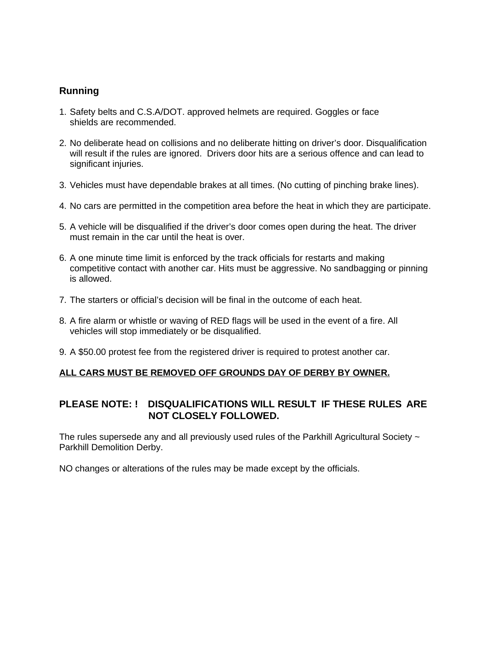## **Running**

- 1. Safety belts and C.S.A/DOT. approved helmets are required. Goggles or face shields are recommended.
- 2. No deliberate head on collisions and no deliberate hitting on driver's door. Disqualification will result if the rules are ignored. Drivers door hits are a serious offence and can lead to significant injuries.
- 3. Vehicles must have dependable brakes at all times. (No cutting of pinching brake lines).
- 4. No cars are permitted in the competition area before the heat in which they are participate.
- 5. A vehicle will be disqualified if the driver's door comes open during the heat. The driver must remain in the car until the heat is over.
- 6. A one minute time limit is enforced by the track officials for restarts and making competitive contact with another car. Hits must be aggressive. No sandbagging or pinning is allowed.
- 7. The starters or official's decision will be final in the outcome of each heat.
- 8. A fire alarm or whistle or waving of RED flags will be used in the event of a fire. All vehicles will stop immediately or be disqualified.
- 9. A \$50.00 protest fee from the registered driver is required to protest another car.

#### **ALL CARS MUST BE REMOVED OFF GROUNDS DAY OF DERBY BY OWNER.**

## **PLEASE NOTE: ! DISQUALIFICATIONS WILL RESULT IF THESE RULES ARE NOT CLOSELY FOLLOWED.**

The rules supersede any and all previously used rules of the Parkhill Agricultural Society ~ Parkhill Demolition Derby.

NO changes or alterations of the rules may be made except by the officials.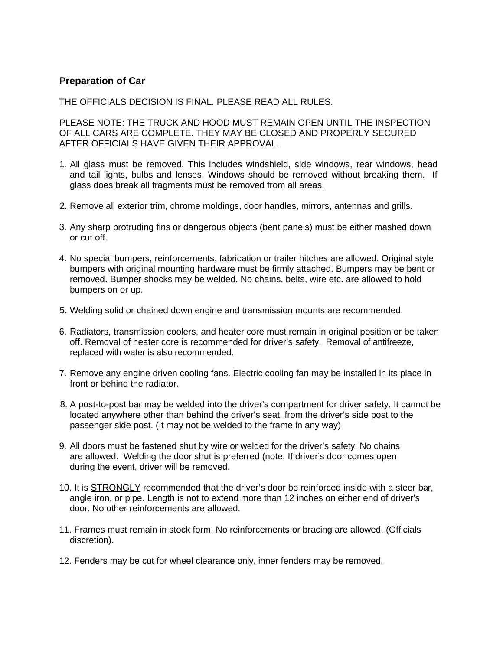## **Preparation of Car**

THE OFFICIALS DECISION IS FINAL. PLEASE READ ALL RULES.

PLEASE NOTE: THE TRUCK AND HOOD MUST REMAIN OPEN UNTIL THE INSPECTION OF ALL CARS ARE COMPLETE. THEY MAY BE CLOSED AND PROPERLY SECURED AFTER OFFICIALS HAVE GIVEN THEIR APPROVAL.

- 1. All glass must be removed. This includes windshield, side windows, rear windows, head and tail lights, bulbs and lenses. Windows should be removed without breaking them. If glass does break all fragments must be removed from all areas.
- 2. Remove all exterior trim, chrome moldings, door handles, mirrors, antennas and grills.
- 3. Any sharp protruding fins or dangerous objects (bent panels) must be either mashed down or cut off.
- 4. No special bumpers, reinforcements, fabrication or trailer hitches are allowed. Original style bumpers with original mounting hardware must be firmly attached. Bumpers may be bent or removed. Bumper shocks may be welded. No chains, belts, wire etc. are allowed to hold bumpers on or up.
- 5. Welding solid or chained down engine and transmission mounts are recommended.
- 6. Radiators, transmission coolers, and heater core must remain in original position or be taken off. Removal of heater core is recommended for driver's safety. Removal of antifreeze, replaced with water is also recommended.
- 7. Remove any engine driven cooling fans. Electric cooling fan may be installed in its place in front or behind the radiator.
- 8. A post-to-post bar may be welded into the driver's compartment for driver safety. It cannot be located anywhere other than behind the driver's seat, from the driver's side post to the passenger side post. (It may not be welded to the frame in any way)
- 9. All doors must be fastened shut by wire or welded for the driver's safety. No chains are allowed. Welding the door shut is preferred (note: If driver's door comes open during the event, driver will be removed.
- 10. It is **STRONGLY** recommended that the driver's door be reinforced inside with a steer bar, angle iron, or pipe. Length is not to extend more than 12 inches on either end of driver's door. No other reinforcements are allowed.
- 11. Frames must remain in stock form. No reinforcements or bracing are allowed. (Officials discretion).
- 12. Fenders may be cut for wheel clearance only, inner fenders may be removed.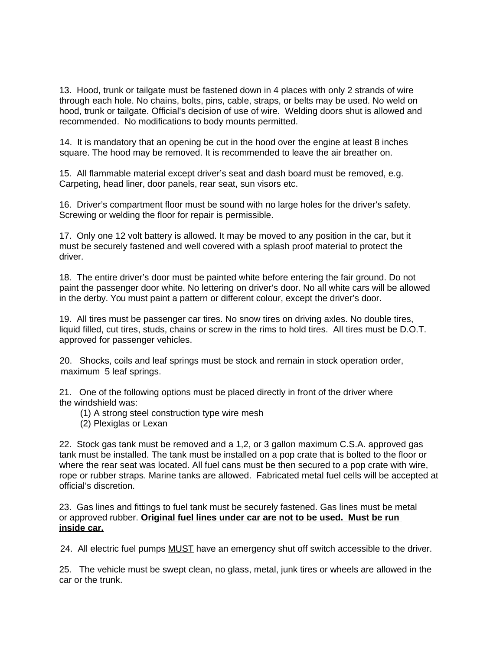13. Hood, trunk or tailgate must be fastened down in 4 places with only 2 strands of wire through each hole. No chains, bolts, pins, cable, straps, or belts may be used. No weld on hood, trunk or tailgate. Official's decision of use of wire. Welding doors shut is allowed and recommended. No modifications to body mounts permitted.

14. It is mandatory that an opening be cut in the hood over the engine at least 8 inches square. The hood may be removed. It is recommended to leave the air breather on.

15. All flammable material except driver's seat and dash board must be removed, e.g. Carpeting, head liner, door panels, rear seat, sun visors etc.

16. Driver's compartment floor must be sound with no large holes for the driver's safety. Screwing or welding the floor for repair is permissible.

17. Only one 12 volt battery is allowed. It may be moved to any position in the car, but it must be securely fastened and well covered with a splash proof material to protect the driver.

18. The entire driver's door must be painted white before entering the fair ground. Do not paint the passenger door white. No lettering on driver's door. No all white cars will be allowed in the derby. You must paint a pattern or different colour, except the driver's door.

19. All tires must be passenger car tires. No snow tires on driving axles. No double tires, liquid filled, cut tires, studs, chains or screw in the rims to hold tires. All tires must be D.O.T. approved for passenger vehicles.

20. Shocks, coils and leaf springs must be stock and remain in stock operation order, maximum 5 leaf springs.

21. One of the following options must be placed directly in front of the driver where the windshield was:

- (1) A strong steel construction type wire mesh
- (2) Plexiglas or Lexan

22. Stock gas tank must be removed and a 1,2, or 3 gallon maximum C.S.A. approved gas tank must be installed. The tank must be installed on a pop crate that is bolted to the floor or where the rear seat was located. All fuel cans must be then secured to a pop crate with wire, rope or rubber straps. Marine tanks are allowed. Fabricated metal fuel cells will be accepted at official's discretion.

23. Gas lines and fittings to fuel tank must be securely fastened. Gas lines must be metal or approved rubber. **Original fuel lines under car are not to be used. Must be run inside car.**

24. All electric fuel pumps **MUST** have an emergency shut off switch accessible to the driver.

25. The vehicle must be swept clean, no glass, metal, junk tires or wheels are allowed in the car or the trunk.